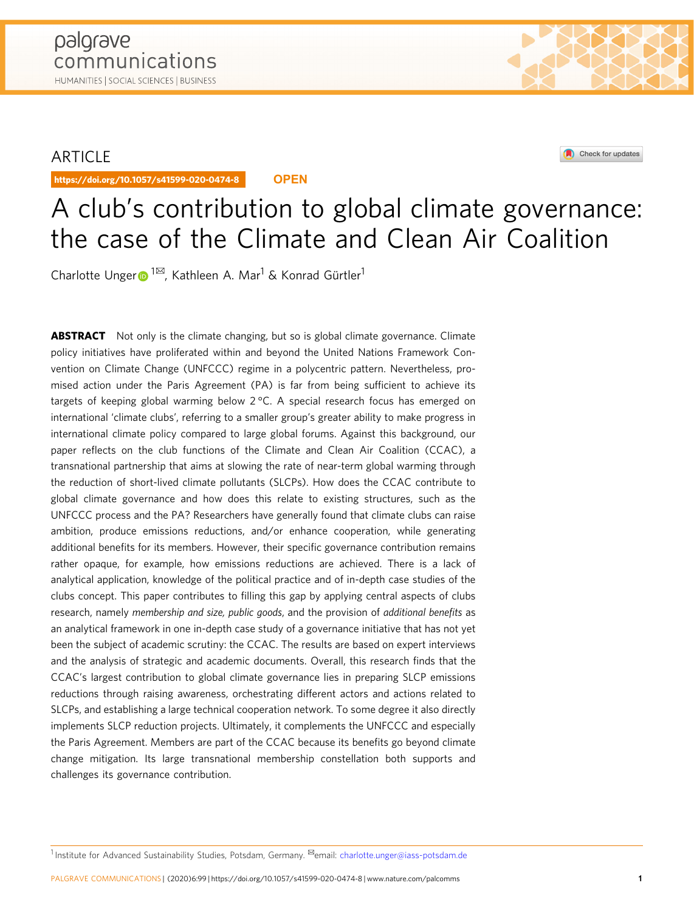# ARTICLE

https://doi.org/10.1057/s41599-020-0474-8 **OPEN**





# A club's contribution to global climate governance: the case of the Climate and Clean Air Coalition

Cha[r](http://orcid.org/0000-0003-1095-5700)lotte Unger  $\blacksquare$ <sup>[1](http://orcid.org/0000-0003-1095-5700)⊠</sup>, Kathleen A. Mar<sup>1</sup> & Konrad Gürtler<sup>1</sup>

**ABSTRACT** Not only is the climate changing, but so is global climate governance. Climate policy initiatives have proliferated within and beyond the United Nations Framework Convention on Climate Change (UNFCCC) regime in a polycentric pattern. Nevertheless, promised action under the Paris Agreement (PA) is far from being sufficient to achieve its targets of keeping global warming below 2 °C. A special research focus has emerged on international 'climate clubs', referring to a smaller group's greater ability to make progress in international climate policy compared to large global forums. Against this background, our paper reflects on the club functions of the Climate and Clean Air Coalition (CCAC), a transnational partnership that aims at slowing the rate of near-term global warming through the reduction of short-lived climate pollutants (SLCPs). How does the CCAC contribute to global climate governance and how does this relate to existing structures, such as the UNFCCC process and the PA? Researchers have generally found that climate clubs can raise ambition, produce emissions reductions, and/or enhance cooperation, while generating additional benefits for its members. However, their specific governance contribution remains rather opaque, for example, how emissions reductions are achieved. There is a lack of analytical application, knowledge of the political practice and of in-depth case studies of the clubs concept. This paper contributes to filling this gap by applying central aspects of clubs research, namely membership and size, public goods, and the provision of additional benefits as an analytical framework in one in-depth case study of a governance initiative that has not yet been the subject of academic scrutiny: the CCAC. The results are based on expert interviews and the analysis of strategic and academic documents. Overall, this research finds that the CCAC's largest contribution to global climate governance lies in preparing SLCP emissions reductions through raising awareness, orchestrating different actors and actions related to SLCPs, and establishing a large technical cooperation network. To some degree it also directly implements SLCP reduction projects. Ultimately, it complements the UNFCCC and especially the Paris Agreement. Members are part of the CCAC because its benefits go beyond climate change mitigation. Its large transnational membership constellation both supports and challenges its governance contribution.

1 Institute for Advanced Sustainability Studies, Potsdam, Germany. <sup>Exa</sup>email: [charlotte.unger@iass-potsdam.de](mailto:charlotte.unger@iass-potsdam.de)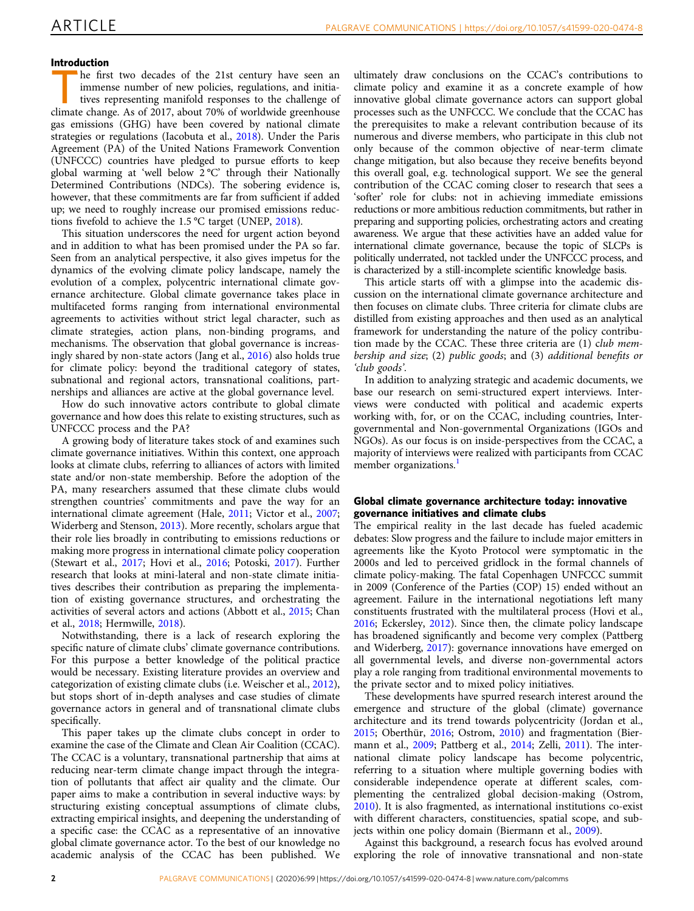# Introduction

he first two decades of the 21st century have seen an immense number of new policies, regulations, and initiatives representing manifold responses to the challenge of climate change. As of 2017, about 70% of worldwide greenhouse gas emissions (GHG) have been covered by national climate strategies or regulations (Iacobuta et al., [2018\)](#page-8-0). Under the Paris Agreement (PA) of the United Nations Framework Convention (UNFCCC) countries have pledged to pursue efforts to keep global warming at 'well below 2 °C' through their Nationally Determined Contributions (NDCs). The sobering evidence is, however, that these commitments are far from sufficient if added up; we need to roughly increase our promised emissions reductions fivefold to achieve the 1.5 °C target (UNEP, [2018\)](#page-9-0).

This situation underscores the need for urgent action beyond and in addition to what has been promised under the PA so far. Seen from an analytical perspective, it also gives impetus for the dynamics of the evolving climate policy landscape, namely the evolution of a complex, polycentric international climate governance architecture. Global climate governance takes place in multifaceted forms ranging from international environmental agreements to activities without strict legal character, such as climate strategies, action plans, non-binding programs, and mechanisms. The observation that global governance is increasingly shared by non-state actors (Jang et al., [2016](#page-8-0)) also holds true for climate policy: beyond the traditional category of states, subnational and regional actors, transnational coalitions, partnerships and alliances are active at the global governance level.

How do such innovative actors contribute to global climate governance and how does this relate to existing structures, such as UNFCCC process and the PA?

A growing body of literature takes stock of and examines such climate governance initiatives. Within this context, one approach looks at climate clubs, referring to alliances of actors with limited state and/or non-state membership. Before the adoption of the PA, many researchers assumed that these climate clubs would strengthen countries' commitments and pave the way for an international climate agreement (Hale, [2011](#page-8-0); Victor et al., [2007;](#page-9-0) Widerberg and Stenson, [2013](#page-9-0)). More recently, scholars argue that their role lies broadly in contributing to emissions reductions or making more progress in international climate policy cooperation (Stewart et al., [2017;](#page-9-0) Hovi et al., [2016](#page-8-0); Potoski, [2017\)](#page-8-0). Further research that looks at mini-lateral and non-state climate initiatives describes their contribution as preparing the implementation of existing governance structures, and orchestrating the activities of several actors and actions (Abbott et al., [2015](#page-8-0); Chan et al., [2018](#page-8-0); Hermwille, [2018\)](#page-8-0).

Notwithstanding, there is a lack of research exploring the specific nature of climate clubs' climate governance contributions. For this purpose a better knowledge of the political practice would be necessary. Existing literature provides an overview and categorization of existing climate clubs (i.e. Weischer et al., [2012](#page-9-0)), but stops short of in-depth analyses and case studies of climate governance actors in general and of transnational climate clubs specifically.

This paper takes up the climate clubs concept in order to examine the case of the Climate and Clean Air Coalition (CCAC). The CCAC is a voluntary, transnational partnership that aims at reducing near-term climate change impact through the integration of pollutants that affect air quality and the climate. Our paper aims to make a contribution in several inductive ways: by structuring existing conceptual assumptions of climate clubs, extracting empirical insights, and deepening the understanding of a specific case: the CCAC as a representative of an innovative global climate governance actor. To the best of our knowledge no academic analysis of the CCAC has been published. We

ultimately draw conclusions on the CCAC's contributions to climate policy and examine it as a concrete example of how innovative global climate governance actors can support global processes such as the UNFCCC. We conclude that the CCAC has the prerequisites to make a relevant contribution because of its numerous and diverse members, who participate in this club not only because of the common objective of near-term climate change mitigation, but also because they receive benefits beyond this overall goal, e.g. technological support. We see the general contribution of the CCAC coming closer to research that sees a 'softer' role for clubs: not in achieving immediate emissions reductions or more ambitious reduction commitments, but rather in preparing and supporting policies, orchestrating actors and creating awareness. We argue that these activities have an added value for international climate governance, because the topic of SLCPs is politically underrated, not tackled under the UNFCCC process, and is characterized by a still-incomplete scientific knowledge basis.

This article starts off with a glimpse into the academic discussion on the international climate governance architecture and then focuses on climate clubs. Three criteria for climate clubs are distilled from existing approaches and then used as an analytical framework for understanding the nature of the policy contribution made by the CCAC. These three criteria are (1) club membership and size; (2) public goods; and (3) additional benefits or 'club goods'.

In addition to analyzing strategic and academic documents, we base our research on semi-structured expert interviews. Interviews were conducted with political and academic experts working with, for, or on the CCAC, including countries, Intergovernmental and Non-governmental Organizations (IGOs and NGOs). As our focus is on inside-perspectives from the CCAC, a majority of interviews were realized with participants from CCAC member organizations.<sup>[1](#page-8-0)</sup>

# Global climate governance architecture today: innovative governance initiatives and climate clubs

The empirical reality in the last decade has fueled academic debates: Slow progress and the failure to include major emitters in agreements like the Kyoto Protocol were symptomatic in the 2000s and led to perceived gridlock in the formal channels of climate policy-making. The fatal Copenhagen UNFCCC summit in 2009 (Conference of the Parties (COP) 15) ended without an agreement. Failure in the international negotiations left many constituents frustrated with the multilateral process (Hovi et al., [2016;](#page-8-0) Eckersley, [2012\)](#page-8-0). Since then, the climate policy landscape has broadened significantly and become very complex (Pattberg and Widerberg, [2017](#page-8-0)): governance innovations have emerged on all governmental levels, and diverse non-governmental actors play a role ranging from traditional environmental movements to the private sector and to mixed policy initiatives.

These developments have spurred research interest around the emergence and structure of the global (climate) governance architecture and its trend towards polycentricity (Jordan et al., [2015;](#page-8-0) Oberthür, [2016](#page-8-0); Ostrom, [2010\)](#page-8-0) and fragmentation (Biermann et al., [2009](#page-8-0); Pattberg et al., [2014](#page-8-0); Zelli, [2011\)](#page-9-0). The international climate policy landscape has become polycentric, referring to a situation where multiple governing bodies with considerable independence operate at different scales, complementing the centralized global decision-making (Ostrom, [2010\)](#page-8-0). It is also fragmented, as international institutions co-exist with different characters, constituencies, spatial scope, and subjects within one policy domain (Biermann et al., [2009\)](#page-8-0).

Against this background, a research focus has evolved around exploring the role of innovative transnational and non-state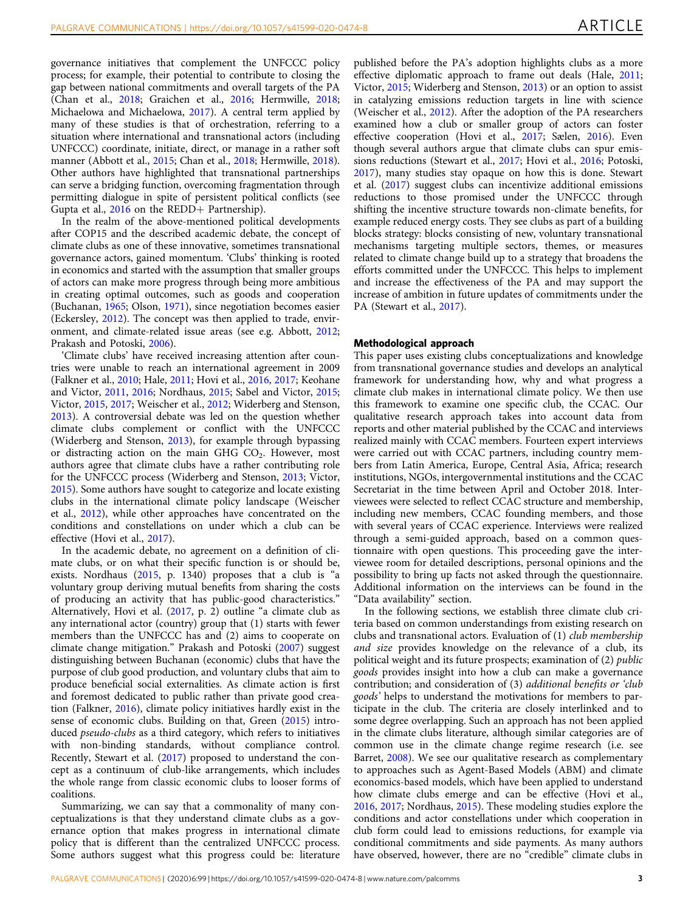governance initiatives that complement the UNFCCC policy process; for example, their potential to contribute to closing the gap between national commitments and overall targets of the PA (Chan et al., [2018](#page-8-0); Graichen et al., [2016;](#page-8-0) Hermwille, [2018;](#page-8-0) Michaelowa and Michaelowa, [2017](#page-8-0)). A central term applied by many of these studies is that of orchestration, referring to a situation where international and transnational actors (including UNFCCC) coordinate, initiate, direct, or manage in a rather soft manner (Abbott et al., [2015](#page-8-0); Chan et al., [2018;](#page-8-0) Hermwille, [2018](#page-8-0)). Other authors have highlighted that transnational partnerships can serve a bridging function, overcoming fragmentation through permitting dialogue in spite of persistent political conflicts (see Gupta et al., [2016](#page-8-0) on the REDD+ Partnership).

In the realm of the above-mentioned political developments after COP15 and the described academic debate, the concept of climate clubs as one of these innovative, sometimes transnational governance actors, gained momentum. 'Clubs' thinking is rooted in economics and started with the assumption that smaller groups of actors can make more progress through being more ambitious in creating optimal outcomes, such as goods and cooperation (Buchanan, [1965;](#page-8-0) Olson, [1971\)](#page-8-0), since negotiation becomes easier (Eckersley, [2012\)](#page-8-0). The concept was then applied to trade, environment, and climate-related issue areas (see e.g. Abbott, [2012;](#page-8-0) Prakash and Potoski, [2006\)](#page-9-0).

'Climate clubs' have received increasing attention after countries were unable to reach an international agreement in 2009 (Falkner et al., [2010;](#page-8-0) Hale, [2011](#page-8-0); Hovi et al., [2016,](#page-8-0) [2017;](#page-8-0) Keohane and Victor, [2011](#page-8-0), [2016](#page-8-0); Nordhaus, [2015](#page-8-0); Sabel and Victor, [2015;](#page-9-0) Victor, [2015](#page-9-0), [2017;](#page-9-0) Weischer et al., [2012;](#page-9-0) Widerberg and Stenson, [2013\)](#page-9-0). A controversial debate was led on the question whether climate clubs complement or conflict with the UNFCCC (Widerberg and Stenson, [2013](#page-9-0)), for example through bypassing or distracting action on the main GHG  $CO<sub>2</sub>$ . However, most authors agree that climate clubs have a rather contributing role for the UNFCCC process (Widerberg and Stenson, [2013](#page-9-0); Victor, [2015\)](#page-9-0). Some authors have sought to categorize and locate existing clubs in the international climate policy landscape (Weischer et al., [2012](#page-9-0)), while other approaches have concentrated on the conditions and constellations on under which a club can be effective (Hovi et al., [2017\)](#page-8-0).

In the academic debate, no agreement on a definition of climate clubs, or on what their specific function is or should be, exists. Nordhaus ([2015](#page-8-0), p. 1340) proposes that a club is "a voluntary group deriving mutual benefits from sharing the costs of producing an activity that has public-good characteristics." Alternatively, Hovi et al. [\(2017](#page-8-0), p. 2) outline "a climate club as any international actor (country) group that (1) starts with fewer members than the UNFCCC has and (2) aims to cooperate on climate change mitigation." Prakash and Potoski [\(2007\)](#page-9-0) suggest distinguishing between Buchanan (economic) clubs that have the purpose of club good production, and voluntary clubs that aim to produce beneficial social externalities. As climate action is first and foremost dedicated to public rather than private good creation (Falkner, [2016](#page-8-0)), climate policy initiatives hardly exist in the sense of economic clubs. Building on that, Green ([2015\)](#page-8-0) introduced pseudo-clubs as a third category, which refers to initiatives with non-binding standards, without compliance control. Recently, Stewart et al. ([2017\)](#page-9-0) proposed to understand the concept as a continuum of club-like arrangements, which includes the whole range from classic economic clubs to looser forms of coalitions.

Summarizing, we can say that a commonality of many conceptualizations is that they understand climate clubs as a governance option that makes progress in international climate policy that is different than the centralized UNFCCC process. Some authors suggest what this progress could be: literature published before the PA's adoption highlights clubs as a more effective diplomatic approach to frame out deals (Hale, [2011;](#page-8-0) Victor, [2015](#page-9-0); Widerberg and Stenson, [2013\)](#page-9-0) or an option to assist in catalyzing emissions reduction targets in line with science (Weischer et al., [2012\)](#page-9-0). After the adoption of the PA researchers examined how a club or smaller group of actors can foster effective cooperation (Hovi et al., [2017;](#page-8-0) Sælen, [2016\)](#page-9-0). Even though several authors argue that climate clubs can spur emissions reductions (Stewart et al., [2017](#page-9-0); Hovi et al., [2016](#page-8-0); Potoski, [2017\)](#page-8-0), many studies stay opaque on how this is done. Stewart et al. [\(2017\)](#page-9-0) suggest clubs can incentivize additional emissions reductions to those promised under the UNFCCC through shifting the incentive structure towards non-climate benefits, for example reduced energy costs. They see clubs as part of a building blocks strategy: blocks consisting of new, voluntary transnational mechanisms targeting multiple sectors, themes, or measures related to climate change build up to a strategy that broadens the efforts committed under the UNFCCC. This helps to implement and increase the effectiveness of the PA and may support the increase of ambition in future updates of commitments under the PA (Stewart et al., [2017\)](#page-9-0).

#### Methodological approach

This paper uses existing clubs conceptualizations and knowledge from transnational governance studies and develops an analytical framework for understanding how, why and what progress a climate club makes in international climate policy. We then use this framework to examine one specific club, the CCAC. Our qualitative research approach takes into account data from reports and other material published by the CCAC and interviews realized mainly with CCAC members. Fourteen expert interviews were carried out with CCAC partners, including country members from Latin America, Europe, Central Asia, Africa; research institutions, NGOs, intergovernmental institutions and the CCAC Secretariat in the time between April and October 2018. Interviewees were selected to reflect CCAC structure and membership, including new members, CCAC founding members, and those with several years of CCAC experience. Interviews were realized through a semi-guided approach, based on a common questionnaire with open questions. This proceeding gave the interviewee room for detailed descriptions, personal opinions and the possibility to bring up facts not asked through the questionnaire. Additional information on the interviews can be found in the "Data availability" section.

In the following sections, we establish three climate club criteria based on common understandings from existing research on clubs and transnational actors. Evaluation of (1) club membership and size provides knowledge on the relevance of a club, its political weight and its future prospects; examination of (2) public goods provides insight into how a club can make a governance contribution; and consideration of (3) additional benefits or 'club goods' helps to understand the motivations for members to participate in the club. The criteria are closely interlinked and to some degree overlapping. Such an approach has not been applied in the climate clubs literature, although similar categories are of common use in the climate change regime research (i.e. see Barret, [2008](#page-8-0)). We see our qualitative research as complementary to approaches such as Agent-Based Models (ABM) and climate economics-based models, which have been applied to understand how climate clubs emerge and can be effective (Hovi et al., [2016,](#page-8-0) [2017;](#page-8-0) Nordhaus, [2015\)](#page-8-0). These modeling studies explore the conditions and actor constellations under which cooperation in club form could lead to emissions reductions, for example via conditional commitments and side payments. As many authors have observed, however, there are no "credible" climate clubs in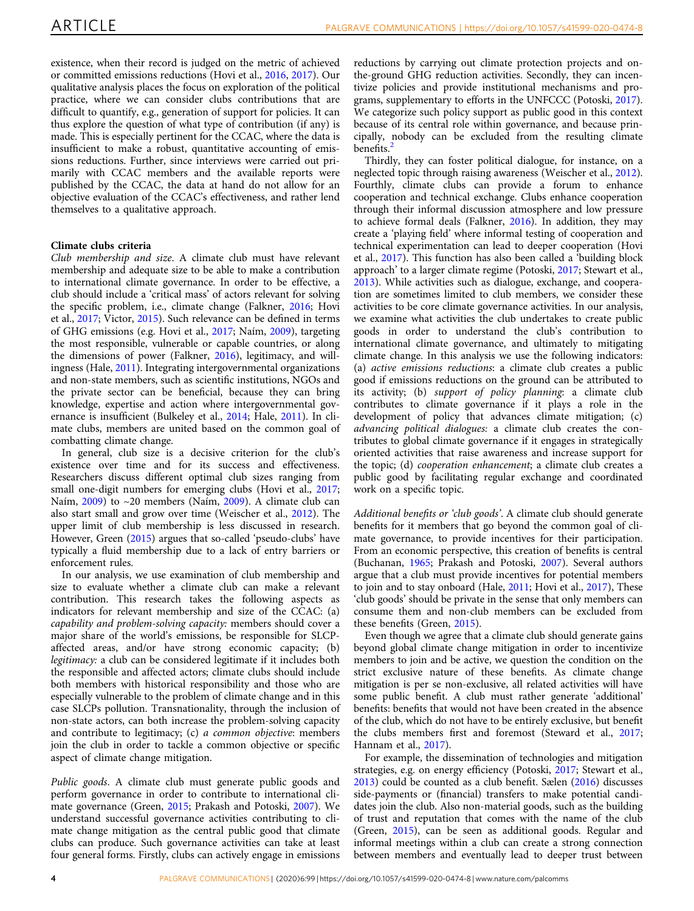existence, when their record is judged on the metric of achieved or committed emissions reductions (Hovi et al., [2016](#page-8-0), [2017](#page-8-0)). Our qualitative analysis places the focus on exploration of the political practice, where we can consider clubs contributions that are difficult to quantify, e.g., generation of support for policies. It can thus explore the question of what type of contribution (if any) is made. This is especially pertinent for the CCAC, where the data is insufficient to make a robust, quantitative accounting of emissions reductions. Further, since interviews were carried out primarily with CCAC members and the available reports were published by the CCAC, the data at hand do not allow for an objective evaluation of the CCAC's effectiveness, and rather lend themselves to a qualitative approach.

# Climate clubs criteria

Club membership and size. A climate club must have relevant membership and adequate size to be able to make a contribution to international climate governance. In order to be effective, a club should include a 'critical mass' of actors relevant for solving the specific problem, i.e., climate change (Falkner, [2016](#page-8-0); Hovi et al., [2017](#page-8-0); Victor, [2015\)](#page-9-0). Such relevance can be defined in terms of GHG emissions (e.g. Hovi et al., [2017](#page-8-0); Naím, [2009\)](#page-8-0), targeting the most responsible, vulnerable or capable countries, or along the dimensions of power (Falkner, [2016](#page-8-0)), legitimacy, and willingness (Hale, [2011](#page-8-0)). Integrating intergovernmental organizations and non-state members, such as scientific institutions, NGOs and the private sector can be beneficial, because they can bring knowledge, expertise and action where intergovernmental governance is insufficient (Bulkeley et al., [2014](#page-8-0); Hale, [2011](#page-8-0)). In climate clubs, members are united based on the common goal of combatting climate change.

In general, club size is a decisive criterion for the club's existence over time and for its success and effectiveness. Researchers discuss different optimal club sizes ranging from small one-digit numbers for emerging clubs (Hovi et al., [2017;](#page-8-0) Naím, [2009](#page-8-0)) to ~20 members (Naím, [2009\)](#page-8-0). A climate club can also start small and grow over time (Weischer et al., [2012](#page-9-0)). The upper limit of club membership is less discussed in research. However, Green ([2015](#page-8-0)) argues that so-called 'pseudo-clubs' have typically a fluid membership due to a lack of entry barriers or enforcement rules.

In our analysis, we use examination of club membership and size to evaluate whether a climate club can make a relevant contribution. This research takes the following aspects as indicators for relevant membership and size of the CCAC: (a) capability and problem-solving capacity: members should cover a major share of the world's emissions, be responsible for SLCPaffected areas, and/or have strong economic capacity; (b) legitimacy: a club can be considered legitimate if it includes both the responsible and affected actors; climate clubs should include both members with historical responsibility and those who are especially vulnerable to the problem of climate change and in this case SLCPs pollution. Transnationality, through the inclusion of non-state actors, can both increase the problem-solving capacity and contribute to legitimacy; (c) a common objective: members join the club in order to tackle a common objective or specific aspect of climate change mitigation.

Public goods. A climate club must generate public goods and perform governance in order to contribute to international climate governance (Green, [2015;](#page-8-0) Prakash and Potoski, [2007\)](#page-9-0). We understand successful governance activities contributing to climate change mitigation as the central public good that climate clubs can produce. Such governance activities can take at least four general forms. Firstly, clubs can actively engage in emissions reductions by carrying out climate protection projects and onthe-ground GHG reduction activities. Secondly, they can incentivize policies and provide institutional mechanisms and programs, supplementary to efforts in the UNFCCC (Potoski, [2017](#page-8-0)). We categorize such policy support as public good in this context because of its central role within governance, and because principally, nobody can be excluded from the resulting climate benefits.<sup>[2](#page-8-0)</sup>

Thirdly, they can foster political dialogue, for instance, on a neglected topic through raising awareness (Weischer et al., [2012](#page-9-0)). Fourthly, climate clubs can provide a forum to enhance cooperation and technical exchange. Clubs enhance cooperation through their informal discussion atmosphere and low pressure to achieve formal deals (Falkner, [2016\)](#page-8-0). In addition, they may create a 'playing field' where informal testing of cooperation and technical experimentation can lead to deeper cooperation (Hovi et al., [2017](#page-8-0)). This function has also been called a 'building block approach' to a larger climate regime (Potoski, [2017;](#page-8-0) Stewart et al., [2013\)](#page-9-0). While activities such as dialogue, exchange, and cooperation are sometimes limited to club members, we consider these activities to be core climate governance activities. In our analysis, we examine what activities the club undertakes to create public goods in order to understand the club's contribution to international climate governance, and ultimately to mitigating climate change. In this analysis we use the following indicators: (a) active emissions reductions: a climate club creates a public good if emissions reductions on the ground can be attributed to its activity; (b) support of policy planning: a climate club contributes to climate governance if it plays a role in the development of policy that advances climate mitigation; (c) advancing political dialogues: a climate club creates the contributes to global climate governance if it engages in strategically oriented activities that raise awareness and increase support for the topic; (d) cooperation enhancement; a climate club creates a public good by facilitating regular exchange and coordinated work on a specific topic.

Additional benefits or 'club goods'. A climate club should generate benefits for it members that go beyond the common goal of climate governance, to provide incentives for their participation. From an economic perspective, this creation of benefits is central (Buchanan, [1965](#page-8-0); Prakash and Potoski, [2007](#page-9-0)). Several authors argue that a club must provide incentives for potential members to join and to stay onboard (Hale, [2011](#page-8-0); Hovi et al., [2017](#page-8-0)), These 'club goods' should be private in the sense that only members can consume them and non-club members can be excluded from these benefits (Green, [2015\)](#page-8-0).

Even though we agree that a climate club should generate gains beyond global climate change mitigation in order to incentivize members to join and be active, we question the condition on the strict exclusive nature of these benefits. As climate change mitigation is per se non-exclusive, all related activities will have some public benefit. A club must rather generate 'additional' benefits: benefits that would not have been created in the absence of the club, which do not have to be entirely exclusive, but benefit the clubs members first and foremost (Steward et al., [2017;](#page-9-0) Hannam et al., [2017](#page-8-0)).

For example, the dissemination of technologies and mitigation strategies, e.g. on energy efficiency (Potoski, [2017](#page-8-0); Stewart et al., [2013\)](#page-9-0) could be counted as a club benefit. Sælen [\(2016](#page-9-0)) discusses side-payments or (financial) transfers to make potential candidates join the club. Also non-material goods, such as the building of trust and reputation that comes with the name of the club (Green, [2015](#page-8-0)), can be seen as additional goods. Regular and informal meetings within a club can create a strong connection between members and eventually lead to deeper trust between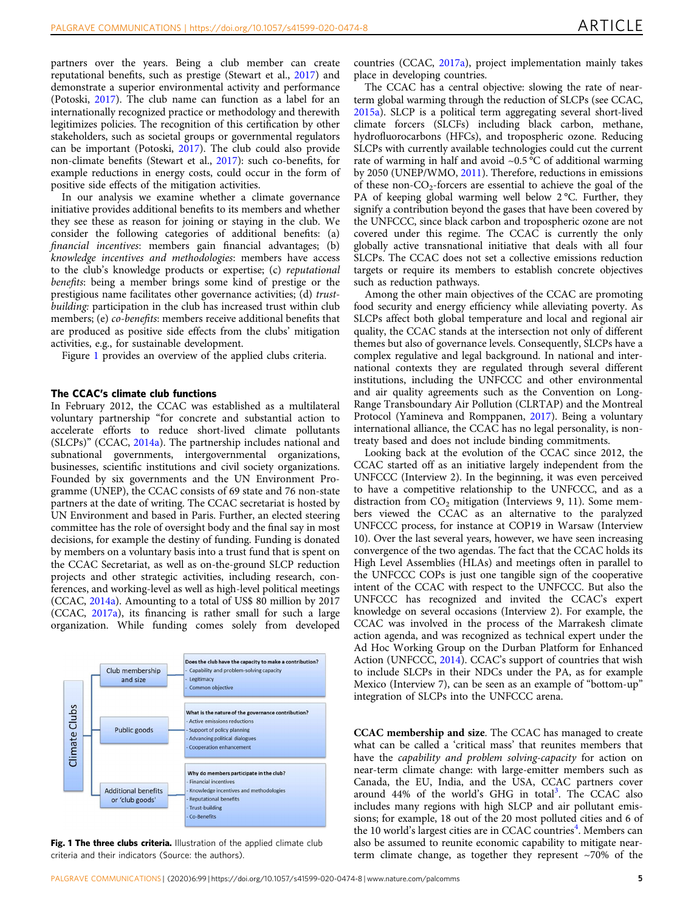partners over the years. Being a club member can create reputational benefits, such as prestige (Stewart et al., [2017\)](#page-9-0) and demonstrate a superior environmental activity and performance (Potoski, [2017](#page-8-0)). The club name can function as a label for an internationally recognized practice or methodology and therewith legitimizes policies. The recognition of this certification by other stakeholders, such as societal groups or governmental regulators can be important (Potoski, [2017](#page-8-0)). The club could also provide non-climate benefits (Stewart et al., [2017\)](#page-9-0): such co-benefits, for example reductions in energy costs, could occur in the form of positive side effects of the mitigation activities.

In our analysis we examine whether a climate governance initiative provides additional benefits to its members and whether they see these as reason for joining or staying in the club. We consider the following categories of additional benefits: (a) financial incentives: members gain financial advantages; (b) knowledge incentives and methodologies: members have access to the club's knowledge products or expertise; (c) reputational benefits: being a member brings some kind of prestige or the prestigious name facilitates other governance activities; (d) trustbuilding: participation in the club has increased trust within club members; (e) co-benefits: members receive additional benefits that are produced as positive side effects from the clubs' mitigation activities, e.g., for sustainable development.

Figure 1 provides an overview of the applied clubs criteria.

#### The CCAC's climate club functions

In February 2012, the CCAC was established as a multilateral voluntary partnership "for concrete and substantial action to accelerate efforts to reduce short-lived climate pollutants (SLCPs)" (CCAC, [2014a\)](#page-8-0). The partnership includes national and subnational governments, intergovernmental organizations, businesses, scientific institutions and civil society organizations. Founded by six governments and the UN Environment Programme (UNEP), the CCAC consists of 69 state and 76 non-state partners at the date of writing. The CCAC secretariat is hosted by UN Environment and based in Paris. Further, an elected steering committee has the role of oversight body and the final say in most decisions, for example the destiny of funding. Funding is donated by members on a voluntary basis into a trust fund that is spent on the CCAC Secretariat, as well as on-the-ground SLCP reduction projects and other strategic activities, including research, conferences, and working-level as well as high-level political meetings (CCAC, [2014a](#page-8-0)). Amounting to a total of US\$ 80 million by 2017 (CCAC, [2017a\)](#page-8-0), its financing is rather small for such a large organization. While funding comes solely from developed



Fig. 1 The three clubs criteria. Illustration of the applied climate club criteria and their indicators (Source: the authors).

countries (CCAC, [2017a](#page-8-0)), project implementation mainly takes place in developing countries.

The CCAC has a central objective: slowing the rate of nearterm global warming through the reduction of SLCPs (see CCAC, [2015a\)](#page-8-0). SLCP is a political term aggregating several short-lived climate forcers (SLCFs) including black carbon, methane, hydrofluorocarbons (HFCs), and tropospheric ozone. Reducing SLCPs with currently available technologies could cut the current rate of warming in half and avoid  $\sim 0.5$  °C of additional warming by 2050 (UNEP/WMO, [2011\)](#page-9-0). Therefore, reductions in emissions of these non- $CO<sub>2</sub>$ -forcers are essential to achieve the goal of the PA of keeping global warming well below 2 °C. Further, they signify a contribution beyond the gases that have been covered by the UNFCCC, since black carbon and tropospheric ozone are not covered under this regime. The CCAC is currently the only globally active transnational initiative that deals with all four SLCPs. The CCAC does not set a collective emissions reduction targets or require its members to establish concrete objectives such as reduction pathways.

Among the other main objectives of the CCAC are promoting food security and energy efficiency while alleviating poverty. As SLCPs affect both global temperature and local and regional air quality, the CCAC stands at the intersection not only of different themes but also of governance levels. Consequently, SLCPs have a complex regulative and legal background. In national and international contexts they are regulated through several different institutions, including the UNFCCC and other environmental and air quality agreements such as the Convention on Long-Range Transboundary Air Pollution (CLRTAP) and the Montreal Protocol (Yamineva and Romppanen, [2017\)](#page-9-0). Being a voluntary international alliance, the CCAC has no legal personality, is nontreaty based and does not include binding commitments.

Looking back at the evolution of the CCAC since 2012, the CCAC started off as an initiative largely independent from the UNFCCC (Interview 2). In the beginning, it was even perceived to have a competitive relationship to the UNFCCC, and as a distraction from  $CO<sub>2</sub>$  mitigation (Interviews 9, 11). Some members viewed the CCAC as an alternative to the paralyzed UNFCCC process, for instance at COP19 in Warsaw (Interview 10). Over the last several years, however, we have seen increasing convergence of the two agendas. The fact that the CCAC holds its High Level Assemblies (HLAs) and meetings often in parallel to the UNFCCC COPs is just one tangible sign of the cooperative intent of the CCAC with respect to the UNFCCC. But also the UNFCCC has recognized and invited the CCAC's expert knowledge on several occasions (Interview 2). For example, the CCAC was involved in the process of the Marrakesh climate action agenda, and was recognized as technical expert under the Ad Hoc Working Group on the Durban Platform for Enhanced Action (UNFCCC, [2014\)](#page-9-0). CCAC's support of countries that wish to include SLCPs in their NDCs under the PA, as for example Mexico (Interview 7), can be seen as an example of "bottom-up" integration of SLCPs into the UNFCCC arena.

CCAC membership and size. The CCAC has managed to create what can be called a 'critical mass' that reunites members that have the capability and problem solving-capacity for action on near-term climate change: with large-emitter members such as Canada, the EU, India, and the USA, CCAC partners cover around 44% of the world's GHG in total<sup>[3](#page-8-0)</sup>. The CCAC also includes many regions with high SLCP and air pollutant emissions; for example, 18 out of the 20 most polluted cities and 6 of the 10 world's largest cities are in CCAC countries<sup>[4](#page-8-0)</sup>. Members can also be assumed to reunite economic capability to mitigate nearterm climate change, as together they represent ~70% of the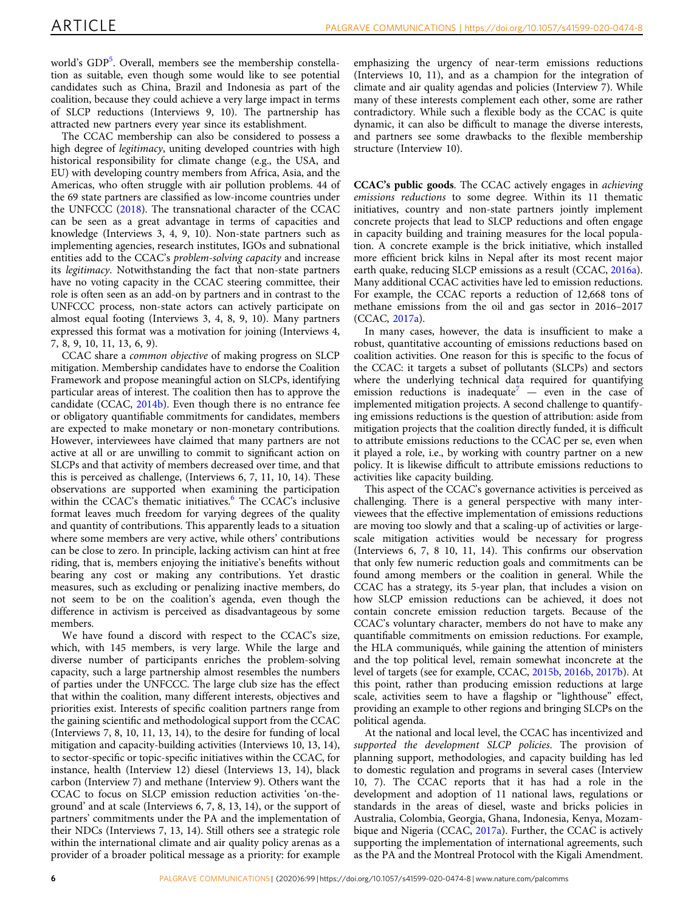world's GDP<sup>[5](#page-8-0)</sup>. Overall, members see the membership constellation as suitable, even though some would like to see potential candidates such as China, Brazil and Indonesia as part of the coalition, because they could achieve a very large impact in terms of SLCP reductions (Interviews 9, 10). The partnership has attracted new partners every year since its establishment.

The CCAC membership can also be considered to possess a high degree of *legitimacy*, uniting developed countries with high historical responsibility for climate change (e.g., the USA, and EU) with developing country members from Africa, Asia, and the Americas, who often struggle with air pollution problems. 44 of the 69 state partners are classified as low-income countries under the UNFCCC [\(2018](#page-9-0)). The transnational character of the CCAC can be seen as a great advantage in terms of capacities and knowledge (Interviews 3, 4, 9, 10). Non-state partners such as implementing agencies, research institutes, IGOs and subnational entities add to the CCAC's problem-solving capacity and increase its legitimacy. Notwithstanding the fact that non-state partners have no voting capacity in the CCAC steering committee, their role is often seen as an add-on by partners and in contrast to the UNFCCC process, non-state actors can actively participate on almost equal footing (Interviews 3, 4, 8, 9, 10). Many partners expressed this format was a motivation for joining (Interviews 4, 7, 8, 9, 10, 11, 13, 6, 9).

CCAC share a common objective of making progress on SLCP mitigation. Membership candidates have to endorse the Coalition Framework and propose meaningful action on SLCPs, identifying particular areas of interest. The coalition then has to approve the candidate (CCAC, [2014b\)](#page-8-0). Even though there is no entrance fee or obligatory quantifiable commitments for candidates, members are expected to make monetary or non-monetary contributions. However, interviewees have claimed that many partners are not active at all or are unwilling to commit to significant action on SLCPs and that activity of members decreased over time, and that this is perceived as challenge, (Interviews 6, 7, 11, 10, 14). These observations are supported when examining the participation within the CCAC's thematic initiatives.<sup>[6](#page-8-0)</sup> The CCAC's inclusive format leaves much freedom for varying degrees of the quality and quantity of contributions. This apparently leads to a situation where some members are very active, while others' contributions can be close to zero. In principle, lacking activism can hint at free riding, that is, members enjoying the initiative's benefits without bearing any cost or making any contributions. Yet drastic measures, such as excluding or penalizing inactive members, do not seem to be on the coalition's agenda, even though the difference in activism is perceived as disadvantageous by some members.

We have found a discord with respect to the CCAC's size, which, with 145 members, is very large. While the large and diverse number of participants enriches the problem-solving capacity, such a large partnership almost resembles the numbers of parties under the UNFCCC. The large club size has the effect that within the coalition, many different interests, objectives and priorities exist. Interests of specific coalition partners range from the gaining scientific and methodological support from the CCAC (Interviews 7, 8, 10, 11, 13, 14), to the desire for funding of local mitigation and capacity-building activities (Interviews 10, 13, 14), to sector-specific or topic-specific initiatives within the CCAC, for instance, health (Interview 12) diesel (Interviews 13, 14), black carbon (Interview 7) and methane (Interview 9). Others want the CCAC to focus on SLCP emission reduction activities 'on-theground' and at scale (Interviews 6, 7, 8, 13, 14), or the support of partners' commitments under the PA and the implementation of their NDCs (Interviews 7, 13, 14). Still others see a strategic role within the international climate and air quality policy arenas as a provider of a broader political message as a priority: for example

emphasizing the urgency of near-term emissions reductions (Interviews 10, 11), and as a champion for the integration of climate and air quality agendas and policies (Interview 7). While many of these interests complement each other, some are rather contradictory. While such a flexible body as the CCAC is quite dynamic, it can also be difficult to manage the diverse interests, and partners see some drawbacks to the flexible membership structure (Interview 10).

CCAC's public goods. The CCAC actively engages in achieving emissions reductions to some degree. Within its 11 thematic initiatives, country and non-state partners jointly implement concrete projects that lead to SLCP reductions and often engage in capacity building and training measures for the local population. A concrete example is the brick initiative, which installed more efficient brick kilns in Nepal after its most recent major earth quake, reducing SLCP emissions as a result (CCAC, [2016a](#page-8-0)). Many additional CCAC activities have led to emission reductions. For example, the CCAC reports a reduction of 12,668 tons of methane emissions from the oil and gas sector in 2016–2017 (CCAC, [2017a](#page-8-0)).

In many cases, however, the data is insufficient to make a robust, quantitative accounting of emissions reductions based on coalition activities. One reason for this is specific to the focus of the CCAC: it targets a subset of pollutants (SLCPs) and sectors where the underlying technical data required for quantifying emission reductions is inadequate<sup>[7](#page-8-0)</sup> — even in the case of implemented mitigation projects. A second challenge to quantifying emissions reductions is the question of attribution: aside from mitigation projects that the coalition directly funded, it is difficult to attribute emissions reductions to the CCAC per se, even when it played a role, i.e., by working with country partner on a new policy. It is likewise difficult to attribute emissions reductions to activities like capacity building.

This aspect of the CCAC's governance activities is perceived as challenging. There is a general perspective with many interviewees that the effective implementation of emissions reductions are moving too slowly and that a scaling-up of activities or largescale mitigation activities would be necessary for progress (Interviews 6, 7, 8 10, 11, 14). This confirms our observation that only few numeric reduction goals and commitments can be found among members or the coalition in general. While the CCAC has a strategy, its 5-year plan, that includes a vision on how SLCP emission reductions can be achieved, it does not contain concrete emission reduction targets. Because of the CCAC's voluntary character, members do not have to make any quantifiable commitments on emission reductions. For example, the HLA communiqués, while gaining the attention of ministers and the top political level, remain somewhat inconcrete at the level of targets (see for example, CCAC, [2015b,](#page-8-0) [2016b](#page-8-0), [2017b\)](#page-8-0). At this point, rather than producing emission reductions at large scale, activities seem to have a flagship or "lighthouse" effect, providing an example to other regions and bringing SLCPs on the political agenda.

At the national and local level, the CCAC has incentivized and supported the development SLCP policies. The provision of planning support, methodologies, and capacity building has led to domestic regulation and programs in several cases (Interview 10, 7). The CCAC reports that it has had a role in the development and adoption of 11 national laws, regulations or standards in the areas of diesel, waste and bricks policies in Australia, Colombia, Georgia, Ghana, Indonesia, Kenya, Mozambique and Nigeria (CCAC, [2017a](#page-8-0)). Further, the CCAC is actively supporting the implementation of international agreements, such as the PA and the Montreal Protocol with the Kigali Amendment.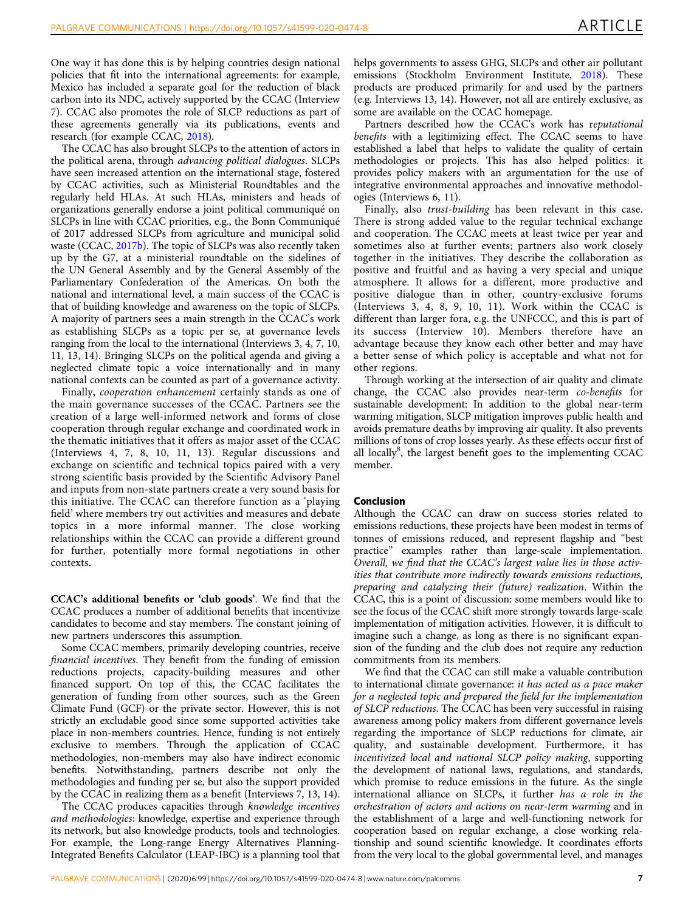One way it has done this is by helping countries design national policies that fit into the international agreements: for example, Mexico has included a separate goal for the reduction of black carbon into its NDC, actively supported by the CCAC (Interview 7). CCAC also promotes the role of SLCP reductions as part of these agreements generally via its publications, events and research (for example CCAC, [2018](#page-8-0)).

The CCAC has also brought SLCPs to the attention of actors in the political arena, through advancing political dialogues. SLCPs have seen increased attention on the international stage, fostered by CCAC activities, such as Ministerial Roundtables and the regularly held HLAs. At such HLAs, ministers and heads of organizations generally endorse a joint political communiqué on SLCPs in line with CCAC priorities, e.g., the Bonn Communiqué of 2017 addressed SLCPs from agriculture and municipal solid waste (CCAC, [2017b](#page-8-0)). The topic of SLCPs was also recently taken up by the G7, at a ministerial roundtable on the sidelines of the UN General Assembly and by the General Assembly of the Parliamentary Confederation of the Americas. On both the national and international level, a main success of the CCAC is that of building knowledge and awareness on the topic of SLCPs. A majority of partners sees a main strength in the CCAC's work as establishing SLCPs as a topic per se, at governance levels ranging from the local to the international (Interviews 3, 4, 7, 10, 11, 13, 14). Bringing SLCPs on the political agenda and giving a neglected climate topic a voice internationally and in many national contexts can be counted as part of a governance activity.

Finally, cooperation enhancement certainly stands as one of the main governance successes of the CCAC. Partners see the creation of a large well-informed network and forms of close cooperation through regular exchange and coordinated work in the thematic initiatives that it offers as major asset of the CCAC (Interviews 4, 7, 8, 10, 11, 13). Regular discussions and exchange on scientific and technical topics paired with a very strong scientific basis provided by the Scientific Advisory Panel and inputs from non-state partners create a very sound basis for this initiative. The CCAC can therefore function as a 'playing field' where members try out activities and measures and debate topics in a more informal manner. The close working relationships within the CCAC can provide a different ground for further, potentially more formal negotiations in other contexts.

CCAC's additional benefits or 'club goods'. We find that the CCAC produces a number of additional benefits that incentivize candidates to become and stay members. The constant joining of new partners underscores this assumption.

Some CCAC members, primarily developing countries, receive financial incentives. They benefit from the funding of emission reductions projects, capacity-building measures and other financed support. On top of this, the CCAC facilitates the generation of funding from other sources, such as the Green Climate Fund (GCF) or the private sector. However, this is not strictly an excludable good since some supported activities take place in non-members countries. Hence, funding is not entirely exclusive to members. Through the application of CCAC methodologies, non-members may also have indirect economic benefits. Notwithstanding, partners describe not only the methodologies and funding per se, but also the support provided by the CCAC in realizing them as a benefit (Interviews 7, 13, 14).

The CCAC produces capacities through knowledge incentives and methodologies: knowledge, expertise and experience through its network, but also knowledge products, tools and technologies. For example, the Long-range Energy Alternatives Planning-Integrated Benefits Calculator (LEAP-IBC) is a planning tool that helps governments to assess GHG, SLCPs and other air pollutant emissions (Stockholm Environment Institute, [2018\)](#page-9-0). These products are produced primarily for and used by the partners (e.g. Interviews 13, 14). However, not all are entirely exclusive, as some are available on the CCAC homepage.

Partners described how the CCAC's work has reputational benefits with a legitimizing effect. The CCAC seems to have established a label that helps to validate the quality of certain methodologies or projects. This has also helped politics: it provides policy makers with an argumentation for the use of integrative environmental approaches and innovative methodologies (Interviews 6, 11).

Finally, also trust-building has been relevant in this case. There is strong added value to the regular technical exchange and cooperation. The CCAC meets at least twice per year and sometimes also at further events; partners also work closely together in the initiatives. They describe the collaboration as positive and fruitful and as having a very special and unique atmosphere. It allows for a different, more productive and positive dialogue than in other, country-exclusive forums (Interviews 3, 4, 8, 9, 10, 11). Work within the CCAC is different than larger fora, e.g. the UNFCCC, and this is part of its success (Interview 10). Members therefore have an advantage because they know each other better and may have a better sense of which policy is acceptable and what not for other regions.

Through working at the intersection of air quality and climate change, the CCAC also provides near-term co-benefits for sustainable development: In addition to the global near-term warming mitigation, SLCP mitigation improves public health and avoids premature deaths by improving air quality. It also prevents millions of tons of crop losses yearly. As these effects occur first of all locally<sup>8</sup>, the largest benefit goes to the implementing CCAC member.

## Conclusion

Although the CCAC can draw on success stories related to emissions reductions, these projects have been modest in terms of tonnes of emissions reduced, and represent flagship and "best practice" examples rather than large-scale implementation. Overall, we find that the CCAC's largest value lies in those activities that contribute more indirectly towards emissions reductions, preparing and catalyzing their (future) realization. Within the CCAC, this is a point of discussion: some members would like to see the focus of the CCAC shift more strongly towards large-scale implementation of mitigation activities. However, it is difficult to imagine such a change, as long as there is no significant expansion of the funding and the club does not require any reduction commitments from its members.

We find that the CCAC can still make a valuable contribution to international climate governance: it has acted as a pace maker for a neglected topic and prepared the field for the implementation of SLCP reductions. The CCAC has been very successful in raising awareness among policy makers from different governance levels regarding the importance of SLCP reductions for climate, air quality, and sustainable development. Furthermore, it has incentivized local and national SLCP policy making, supporting the development of national laws, regulations, and standards, which promise to reduce emissions in the future. As the single international alliance on SLCPs, it further has a role in the orchestration of actors and actions on near-term warming and in the establishment of a large and well-functioning network for cooperation based on regular exchange, a close working relationship and sound scientific knowledge. It coordinates efforts from the very local to the global governmental level, and manages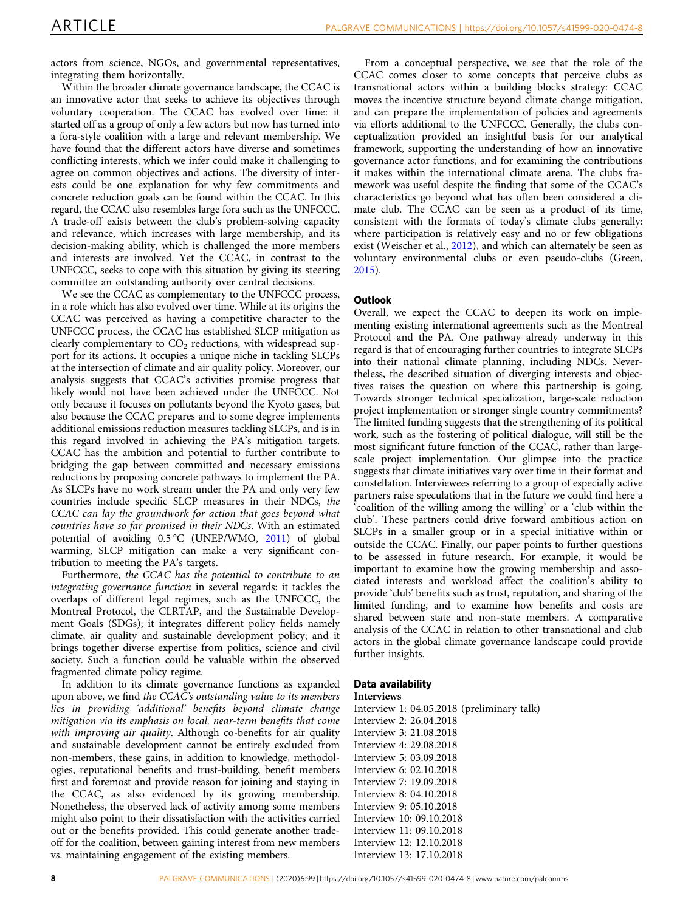actors from science, NGOs, and governmental representatives, integrating them horizontally.

Within the broader climate governance landscape, the CCAC is an innovative actor that seeks to achieve its objectives through voluntary cooperation. The CCAC has evolved over time: it started off as a group of only a few actors but now has turned into a fora-style coalition with a large and relevant membership. We have found that the different actors have diverse and sometimes conflicting interests, which we infer could make it challenging to agree on common objectives and actions. The diversity of interests could be one explanation for why few commitments and concrete reduction goals can be found within the CCAC. In this regard, the CCAC also resembles large fora such as the UNFCCC. A trade-off exists between the club's problem-solving capacity and relevance, which increases with large membership, and its decision-making ability, which is challenged the more members and interests are involved. Yet the CCAC, in contrast to the UNFCCC, seeks to cope with this situation by giving its steering committee an outstanding authority over central decisions.

We see the CCAC as complementary to the UNFCCC process, in a role which has also evolved over time. While at its origins the CCAC was perceived as having a competitive character to the UNFCCC process, the CCAC has established SLCP mitigation as clearly complementary to  $CO<sub>2</sub>$  reductions, with widespread support for its actions. It occupies a unique niche in tackling SLCPs at the intersection of climate and air quality policy. Moreover, our analysis suggests that CCAC's activities promise progress that likely would not have been achieved under the UNFCCC. Not only because it focuses on pollutants beyond the Kyoto gases, but also because the CCAC prepares and to some degree implements additional emissions reduction measures tackling SLCPs, and is in this regard involved in achieving the PA's mitigation targets. CCAC has the ambition and potential to further contribute to bridging the gap between committed and necessary emissions reductions by proposing concrete pathways to implement the PA. As SLCPs have no work stream under the PA and only very few countries include specific SLCP measures in their NDCs, the CCAC can lay the groundwork for action that goes beyond what countries have so far promised in their NDCs. With an estimated potential of avoiding 0.5 °C (UNEP/WMO, [2011\)](#page-9-0) of global warming, SLCP mitigation can make a very significant contribution to meeting the PA's targets.

Furthermore, the CCAC has the potential to contribute to an integrating governance function in several regards: it tackles the overlaps of different legal regimes, such as the UNFCCC, the Montreal Protocol, the CLRTAP, and the Sustainable Development Goals (SDGs); it integrates different policy fields namely climate, air quality and sustainable development policy; and it brings together diverse expertise from politics, science and civil society. Such a function could be valuable within the observed fragmented climate policy regime.

In addition to its climate governance functions as expanded upon above, we find the CCAC's outstanding value to its members lies in providing 'additional' benefits beyond climate change mitigation via its emphasis on local, near-term benefits that come with improving air quality. Although co-benefits for air quality and sustainable development cannot be entirely excluded from non-members, these gains, in addition to knowledge, methodologies, reputational benefits and trust-building, benefit members first and foremost and provide reason for joining and staying in the CCAC, as also evidenced by its growing membership. Nonetheless, the observed lack of activity among some members might also point to their dissatisfaction with the activities carried out or the benefits provided. This could generate another tradeoff for the coalition, between gaining interest from new members vs. maintaining engagement of the existing members.

From a conceptual perspective, we see that the role of the CCAC comes closer to some concepts that perceive clubs as transnational actors within a building blocks strategy: CCAC moves the incentive structure beyond climate change mitigation, and can prepare the implementation of policies and agreements via efforts additional to the UNFCCC. Generally, the clubs conceptualization provided an insightful basis for our analytical framework, supporting the understanding of how an innovative governance actor functions, and for examining the contributions it makes within the international climate arena. The clubs framework was useful despite the finding that some of the CCAC's characteristics go beyond what has often been considered a climate club. The CCAC can be seen as a product of its time, consistent with the formats of today's climate clubs generally: where participation is relatively easy and no or few obligations exist (Weischer et al., [2012](#page-9-0)), and which can alternately be seen as voluntary environmental clubs or even pseudo-clubs (Green, [2015\)](#page-8-0).

# **Outlook**

Overall, we expect the CCAC to deepen its work on implementing existing international agreements such as the Montreal Protocol and the PA. One pathway already underway in this regard is that of encouraging further countries to integrate SLCPs into their national climate planning, including NDCs. Nevertheless, the described situation of diverging interests and objectives raises the question on where this partnership is going. Towards stronger technical specialization, large-scale reduction project implementation or stronger single country commitments? The limited funding suggests that the strengthening of its political work, such as the fostering of political dialogue, will still be the most significant future function of the CCAC, rather than largescale project implementation. Our glimpse into the practice suggests that climate initiatives vary over time in their format and constellation. Interviewees referring to a group of especially active partners raise speculations that in the future we could find here a 'coalition of the willing among the willing' or a 'club within the club'. These partners could drive forward ambitious action on SLCPs in a smaller group or in a special initiative within or outside the CCAC. Finally, our paper points to further questions to be assessed in future research. For example, it would be important to examine how the growing membership and associated interests and workload affect the coalition's ability to provide 'club' benefits such as trust, reputation, and sharing of the limited funding, and to examine how benefits and costs are shared between state and non-state members. A comparative analysis of the CCAC in relation to other transnational and club actors in the global climate governance landscape could provide further insights.

# Data availability

Interviews

Interview 1: 04.05.2018 (preliminary talk) Interview 2: 26.04.2018 Interview 3: 21.08.2018 Interview 4: 29.08.2018 Interview 5: 03.09.2018 Interview 6: 02.10.2018 Interview 7: 19.09.2018 Interview 8: 04.10.2018 Interview 9: 05.10.2018 Interview 10: 09.10.2018 Interview 11: 09.10.2018 Interview 12: 12.10.2018 Interview 13: 17.10.2018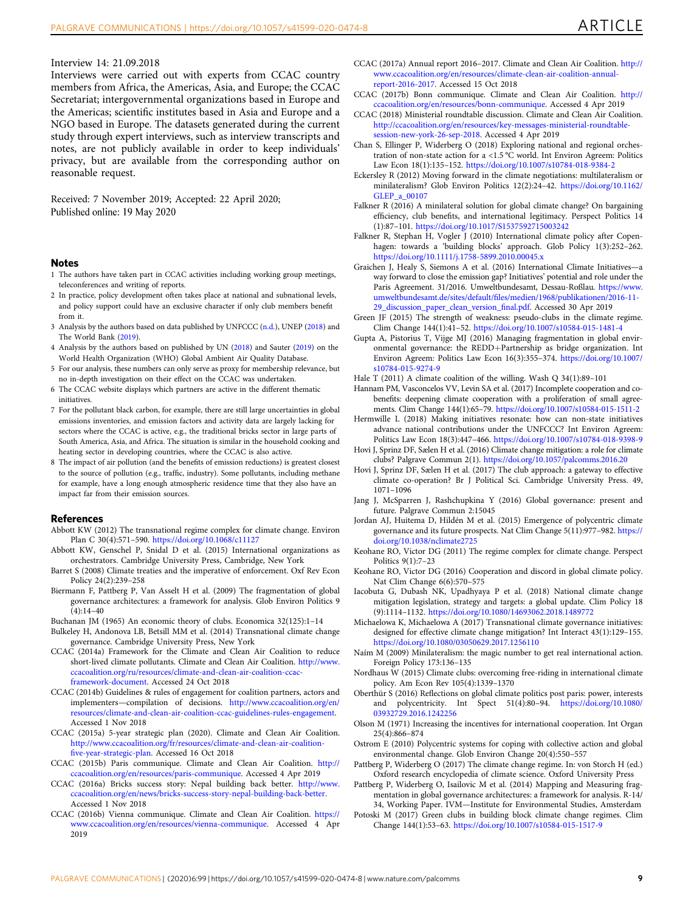#### <span id="page-8-0"></span>Interview 14: 21.09.2018

Interviews were carried out with experts from CCAC country members from Africa, the Americas, Asia, and Europe; the CCAC Secretariat; intergovernmental organizations based in Europe and the Americas; scientific institutes based in Asia and Europe and a NGO based in Europe. The datasets generated during the current study through expert interviews, such as interview transcripts and notes, are not publicly available in order to keep individuals' privacy, but are available from the corresponding author on reasonable request.

Received: 7 November 2019; Accepted: 22 April 2020; Published online: 19 May 2020

#### Notes

- 1 The authors have taken part in CCAC activities including working group meetings, teleconferences and writing of reports.
- 2 In practice, policy development often takes place at national and subnational levels, and policy support could have an exclusive character if only club members benefit from it.
- 3 Analysis by the authors based on data published by UNFCCC ([n.d.](#page-9-0)), UNEP ([2018](#page-9-0)) and The World Bank [\(2019\)](#page-9-0).
- 4 Analysis by the authors based on published by UN ([2018](#page-9-0)) and Sauter ([2019](#page-9-0)) on the World Health Organization (WHO) Global Ambient Air Quality Database.
- 5 For our analysis, these numbers can only serve as proxy for membership relevance, but no in-depth investigation on their effect on the CCAC was undertaken.
- 6 The CCAC website displays which partners are active in the different thematic initiatives.
- 7 For the pollutant black carbon, for example, there are still large uncertainties in global emissions inventories, and emission factors and activity data are largely lacking for sectors where the CCAC is active, e.g., the traditional bricks sector in large parts of South America, Asia, and Africa. The situation is similar in the household cooking and heating sector in developing countries, where the CCAC is also active.
- 8 The impact of air pollution (and the benefits of emission reductions) is greatest closest to the source of pollution (e.g., traffic, industry). Some pollutants, including methane for example, have a long enough atmospheric residence time that they also have an impact far from their emission sources.

#### References

- Abbott KW (2012) The transnational regime complex for climate change. Environ Plan C 30(4):571–590. <https://doi.org/10.1068/c11127>
- Abbott KW, Genschel P, Snidal D et al. (2015) International organizations as orchestrators. Cambridge University Press, Cambridge, New York
- Barret S (2008) Climate treaties and the imperative of enforcement. Oxf Rev Econ Policy 24(2):239–258
- Biermann F, Pattberg P, Van Asselt H et al. (2009) The fragmentation of global governance architectures: a framework for analysis. Glob Environ Politics 9  $(4):14-40$

Buchanan JM (1965) An economic theory of clubs. Economica 32(125):1–14

- Bulkeley H, Andonova LB, Betsill MM et al. (2014) Transnational climate change governance. Cambridge University Press, New York
- CCAC (2014a) Framework for the Climate and Clean Air Coalition to reduce short-lived climate pollutants. Climate and Clean Air Coalition. [http://www.](http://www.ccacoalition.org/ru/resources/climate-and-clean-air-coalition-ccac-framework-document) [ccacoalition.org/ru/resources/climate-and-clean-air-coalition-ccac](http://www.ccacoalition.org/ru/resources/climate-and-clean-air-coalition-ccac-framework-document)[framework-document.](http://www.ccacoalition.org/ru/resources/climate-and-clean-air-coalition-ccac-framework-document) Accessed 24 Oct 2018
- CCAC (2014b) Guidelines & rules of engagement for coalition partners, actors and implementers—compilation of decisions. [http://www.ccacoalition.org/en/](http://www.ccacoalition.org/en/resources/climate-and-clean-air-coalition-ccac-guidelines-rules-engagement) [resources/climate-and-clean-air-coalition-ccac-guidelines-rules-engagement](http://www.ccacoalition.org/en/resources/climate-and-clean-air-coalition-ccac-guidelines-rules-engagement). Accessed 1 Nov 2018
- CCAC (2015a) 5-year strategic plan (2020). Climate and Clean Air Coalition. [http://www.ccacoalition.org/fr/resources/climate-and-clean-air-coalition](http://www.ccacoalition.org/fr/resources/climate-and-clean-air-coalition-five-year-strategic-plan)fi[ve-year-strategic-plan.](http://www.ccacoalition.org/fr/resources/climate-and-clean-air-coalition-five-year-strategic-plan) Accessed 16 Oct 2018
- CCAC (2015b) Paris communique. Climate and Clean Air Coalition. [http://](http://ccacoalition.org/en/resources/paris-communique) [ccacoalition.org/en/resources/paris-communique.](http://ccacoalition.org/en/resources/paris-communique) Accessed 4 Apr 2019
- CCAC (2016a) Bricks success story: Nepal building back better. [http://www.](http://www.ccacoalition.org/en/news/bricks-success-story-nepal-building-back-better) [ccacoalition.org/en/news/bricks-success-story-nepal-building-back-better](http://www.ccacoalition.org/en/news/bricks-success-story-nepal-building-back-better). Accessed 1 Nov 2018
- CCAC (2016b) Vienna communique. Climate and Clean Air Coalition. [https://](https://www.ccacoalition.org/en/resources/vienna-communique) [www.ccacoalition.org/en/resources/vienna-communique.](https://www.ccacoalition.org/en/resources/vienna-communique) Accessed 4 Apr 2019
- CCAC (2017a) Annual report 2016–2017. Climate and Clean Air Coalition. [http://](http://www.ccacoalition.org/en/resources/climate-clean-air-coalition-annual-report-2016-2017) [www.ccacoalition.org/en/resources/climate-clean-air-coalition-annual](http://www.ccacoalition.org/en/resources/climate-clean-air-coalition-annual-report-2016-2017)[report-2016-2017](http://www.ccacoalition.org/en/resources/climate-clean-air-coalition-annual-report-2016-2017). Accessed 15 Oct 2018
- CCAC (2017b) Bonn communique. Climate and Clean Air Coalition. [http://](http://ccacoalition.org/en/resources/bonn-communique) [ccacoalition.org/en/resources/bonn-communique.](http://ccacoalition.org/en/resources/bonn-communique) Accessed 4 Apr 2019
- CCAC (2018) Ministerial roundtable discussion. Climate and Clean Air Coalition. [http://ccacoalition.org/en/resources/key-messages-ministerial-roundtable](http://ccacoalition.org/en/resources/key-messages-ministerial-roundtable-session-new-york-26-sep-2018)[session-new-york-26-sep-2018.](http://ccacoalition.org/en/resources/key-messages-ministerial-roundtable-session-new-york-26-sep-2018) Accessed 4 Apr 2019
- Chan S, Ellinger P, Widerberg O (2018) Exploring national and regional orchestration of non-state action for a <1.5 °C world. Int Environ Agreem: Politics Law Econ 18(1):135–152. <https://doi.org/10.1007/s10784-018-9384-2>
- Eckersley R (2012) Moving forward in the climate negotiations: multilateralism or minilateralism? Glob Environ Politics 12(2):24–42. [https://doi.org/10.1162/](https://doi.org/10.1162/GLEP_a_00107) GLEP a 00107
- Falkner R (2016) A minilateral solution for global climate change? On bargaining efficiency, club benefits, and international legitimacy. Perspect Politics 14 (1):87–101. <https://doi.org/10.1017/S1537592715003242>
- Falkner R, Stephan H, Vogler J (2010) International climate policy after Copenhagen: towards a 'building blocks' approach. Glob Policy 1(3):252–262. <https://doi.org/10.1111/j.1758-5899.2010.00045.x>
- Graichen J, Healy S, Siemons A et al. (2016) International Climate Initiatives—a way forward to close the emission gap? Initiatives' potential and role under the Paris Agreement. 31/2016. Umweltbundesamt, Dessau-Roßlau. [https://www.](https://www.umweltbundesamt.de/sites/default/files/medien/1968/publikationen/2016-11-29_discussion_paper_clean_version_final.pdf) umweltbundesamt.de/sites/default/fi[les/medien/1968/publikationen/2016-11-](https://www.umweltbundesamt.de/sites/default/files/medien/1968/publikationen/2016-11-29_discussion_paper_clean_version_final.pdf) [29\\_discussion\\_paper\\_clean\\_version\\_](https://www.umweltbundesamt.de/sites/default/files/medien/1968/publikationen/2016-11-29_discussion_paper_clean_version_final.pdf)final.pdf. Accessed 30 Apr 2019
- Green JF (2015) The strength of weakness: pseudo-clubs in the climate regime. Clim Change 144(1):41–52. <https://doi.org/10.1007/s10584-015-1481-4>
- Gupta A, Pistorius T, Vijge MJ (2016) Managing fragmentation in global environmental governance: the REDD+Partnership as bridge organization. Int Environ Agreem: Politics Law Econ 16(3):355–374. [https://doi.org/10.1007/](https://doi.org/10.1007/s10784-015-9274-9) [s10784-015-9274-9](https://doi.org/10.1007/s10784-015-9274-9)
- Hale T (2011) A climate coalition of the willing. Wash Q 34(1):89–101
- Hannam PM, Vasconcelos VV, Levin SA et al. (2017) Incomplete cooperation and cobenefits: deepening climate cooperation with a proliferation of small agreements. Clim Change 144(1):65–79. <https://doi.org/10.1007/s10584-015-1511-2>
- Hermwille L (2018) Making initiatives resonate: how can non-state initiatives advance national contributions under the UNFCCC? Int Environ Agreem: Politics Law Econ 18(3):447–466. <https://doi.org/10.1007/s10784-018-9398-9>
- Hovi J, Sprinz DF, Sælen H et al. (2016) Climate change mitigation: a role for climate clubs? Palgrave Commun 2(1). <https://doi.org/10.1057/palcomms.2016.20>
- Hovi J, Sprinz DF, Sælen H et al. (2017) The club approach: a gateway to effective climate co-operation? Br J Political Sci. Cambridge University Press. 49, 1071–1096
- Jang J, McSparren J, Rashchupkina Y (2016) Global governance: present and future. Palgrave Commun 2:15045
- Jordan AJ, Huitema D, Hildén M et al. (2015) Emergence of polycentric climate governance and its future prospects. Nat Clim Change 5(11):977–982. [https://](https://doi.org/10.1038/nclimate2725) doi.org/10.1038/nclimate272
- Keohane RO, Victor DG (2011) The regime complex for climate change. Perspect Politics 9(1):7–23
- Keohane RO, Victor DG (2016) Cooperation and discord in global climate policy. Nat Clim Change 6(6):570–575
- Iacobuta G, Dubash NK, Upadhyaya P et al. (2018) National climate change mitigation legislation, strategy and targets: a global update. Clim Policy 18 (9):1114–1132. <https://doi.org/10.1080/14693062.2018.1489772>
- Michaelowa K, Michaelowa A (2017) Transnational climate governance initiatives: designed for effective climate change mitigation? Int Interact 43(1):129–155. <https://doi.org/10.1080/03050629.2017.1256110>
- Naím M (2009) Minilateralism: the magic number to get real international action. Foreign Policy 173:136–135
- Nordhaus W (2015) Climate clubs: overcoming free-riding in international climate policy. Am Econ Rev 105(4):1339–1370
- Oberthür S (2016) Reflections on global climate politics post paris: power, interests and polycentricity. Int Spect 51(4):80–94. [https://doi.org/10.1080/](https://doi.org/10.1080/03932729.2016.1242256) [03932729.2016.1242256](https://doi.org/10.1080/03932729.2016.1242256)
- Olson M (1971) Increasing the incentives for international cooperation. Int Organ 25(4):866–874
- Ostrom E (2010) Polycentric systems for coping with collective action and global environmental change. Glob Environ Change 20(4):550–557
- Pattberg P, Widerberg O (2017) The climate change regime. In: von Storch H (ed.) Oxford research encyclopedia of climate science. Oxford University Press
- Pattberg P, Widerberg O, Isailovic M et al. (2014) Mapping and Measuring fragmentation in global governance architectures: a framework for analysis. R-14/ 34, Working Paper. IVM—Institute for Environmental Studies, Amsterdam
- Potoski M (2017) Green clubs in building block climate change regimes. Clim Change 144(1):53–63. <https://doi.org/10.1007/s10584-015-1517-9>